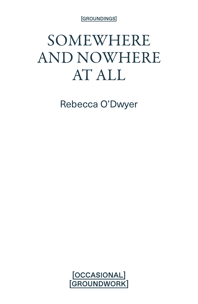[GROUNDINGS]

## SOMEWHERE AND NOWHERE AT ALL

Rebecca O'Dwyer

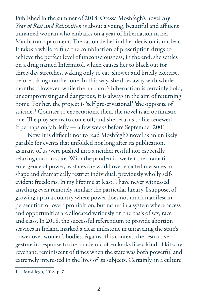Published in the summer of 2018, Otessa Moshfegh's novel *My Year of Rest and Relaxation* is about a young, beautiful and affluent unnamed woman who embarks on a year of hibernation in her Manhattan apartment. The rationale behind her decision is unclear. It takes a while to find the combination of prescription drugs to achieve the perfect level of unconsciousness; in the end, she settles on a drug named Infermitol, which causes her to black out for three-day stretches, waking only to eat, shower and briefly exercise, before taking another one. In this way, she does away with whole months. However, while the narrator's hibernation is certainly bold, uncompromising and dangerous, it is always in the aim of returning home. For her, the project is 'self preservational,' the opposite of suicide.'1 Counter to expectations, then, the novel is an optimistic one. The ploy seems to come off, and she returns to life renewed if perhaps only briefly — a few weeks before September 2001.

Now, it is difficult not to read Moshfegh's novel as an unlikely parable for events that unfolded not long after its publication, as many of us were pushed into a neither restful nor especially relaxing cocoon state. With the pandemic, we felt the dramatic emergence of power, as states the world over enacted measures to shape and dramatically restrict individual, previously wholly selfevident freedoms. In my lifetime at least, I have never witnessed anything even remotely similar: the particular luxury, I suppose, of growing up in a country where power does not much manifest in persecution or overt prohibition, but rather in a system where access and opportunities are allocated variously on the basis of sex, race and class. In 2018, the successful referendum to provide abortion services in Ireland marked a clear milestone in unraveling the state's power over women's bodies. Against this context, the restrictive gesture in response to the pandemic often looks like a kind of kitschy revenant, reminiscent of times when the state was both powerful and extremely interested in the lives of its subjects. Certainly, in a culture

<sup>1</sup> Moshfegh, 2018, p. 7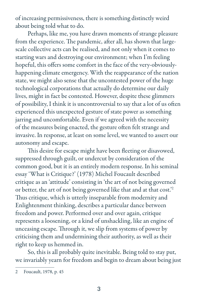of increasing permissiveness, there is something distinctly weird about being told what to do.

Perhaps, like me, you have drawn moments of strange pleasure from the experience. The pandemic, after all, has shown that largescale collective acts can be realised, and not only when it comes to starting wars and destroying our environment; when I'm feeling hopeful, this offers some comfort in the face of the very-obviouslyhappening climate emergency. With the reappearance of the nation state, we might also sense that the uncontested power of the huge technological corporations that actually do determine our daily lives, might in fact be contested. However, despite these glimmers of possibility, I think it is uncontroversial to say that a lot of us often experienced this unexpected gesture of state power as something jarring and uncomfortable. Even if we agreed with the necessity of the measures being enacted, the gesture often felt strange and invasive. In response, at least on some level, we wanted to assert our autonomy and escape.

This desire for escape might have been fleeting or disavowed, suppressed through guilt, or undercut by consideration of the common good, but it is an entirely modern response. In his seminal essay 'What is Critique?' (1978) Michel Foucault described critique as an 'attitude' consisting in 'the art of not being governed or better, the art of not being governed like that and at that cost.'2 Thus critique, which is utterly inseparable from modernity and Enlightenment thinking, describes a particular dance between freedom and power. Performed over and over again, critique represents a loosening, or a kind of unshackling, like an engine of unceasing escape. Through it, we slip from systems of power by criticising them and undermining their authority, as well as their right to keep us hemmed in.

So, this is all probably quite inevitable. Being told to stay put, we invariably yearn for freedom and begin to dream about being just

<sup>2</sup> Foucault, 1978, p. 45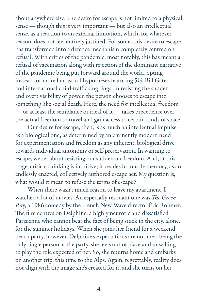about anywhere else. The desire for escape is not limited to a physical sense — though this is very important — but also an intellectual sense, as a reaction to an external limitation, which, for whatever reason, does not feel entirely justified. For some, this desire to escape has transformed into a defence mechanism completely centred on refusal. With critics of the pandemic, most notably, this has meant a refusal of vaccination along with rejection of the dominant narrative of the pandemic being put forward around the world, opting instead for more fantastical hypotheses featuring 5G, Bill Gates and international child-trafficking rings. In resisting the sudden and overt visibility of power, the person chooses to escape into something like social death. Here, the need for intellectual freedom — or at least the semblance or ideal of it — takes precedence over the actual freedom to travel and gain access to certain kinds of space.

Our desire for escape, then, is as much an intellectual impulse as a biological one; as determined by an eminently modern need for experimentation and freedom as any inherent, biological drive towards individual autonomy or self-preservation. In wanting to escape, we set about resisting our sudden un-freedom. And, at this stage, critical thinking is intuitive; it resides in muscle memory, as an endlessly enacted, collectively authored escape act. My question is, what would it mean to refuse the terms of escape?

When there wasn't much reason to leave my apartment, I watched a lot of movies. An especially resonant one was *The Green Ra*y, a 1986 comedy by the French New Wave director Éric Rohmer. The film centres on Delphine, a highly neurotic and dissatisfied Parisienne who cannot bear the fact of being stuck in the city, alone, for the summer holidays. When she joins her friend for a weekend beach party, however, Delphine's expectations are not met: being the only single person at the party, she feels out of place and unwilling to play the role expected of her. So, she returns home and embarks on another trip, this time to the Alps. Again, regrettably, reality does not align with the image she's created for it, and she turns on her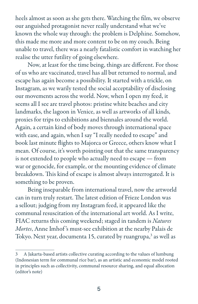heels almost as soon as she gets there. Watching the film, we observe our anguished protagonist never really understand what we've known the whole way through: the problem is Delphine. Somehow, this made me more and more content to be on my couch. Being unable to travel, there was a nearly fatalistic comfort in watching her realise the utter futility of going elsewhere.

Now, at least for the time being, things are different. For those of us who are vaccinated, travel has all but returned to normal, and escape has again become a possibility. It started with a trickle, on Instagram, as we warily tested the social acceptability of disclosing our movements across the world. Now, when I open my feed, it seems all I see are travel photos: pristine white beaches and city landmarks, the lagoon in Venice, as well as artworks of all kinds, proxies for trips to exhibitions and biennales around the world. Again, a certain kind of body moves through international space with ease, and again, when I say "I really needed to escape" and book last minute flights to Majorca or Greece, others know what I mean. Of course, it's worth pointing out that the same transparency is not extended to people who actually need to escape — from war or genocide, for example, or the mounting evidence of climate breakdown. This kind of escape is almost always interrogated. It is something to be proven.

Being inseparable from international travel, now the artworld can in turn truly restart. The latest edition of Frieze London was a sellout; judging from my Instagram feed, it appeared like the communal resuscitation of the international art world. As I write, FIAC returns this coming weekend; staged in tandem is *Natures Mortes*, Anne Imhof 's must-see exhibition at the nearby Palais de Tokyo. Next year, documenta 15, curated by ruangrupa,<sup>3</sup> as well as

<sup>3</sup> A Jakarta-based artists collective curating according to the values of lumbung (Indonesian term for communal rice bar), as an artistic and economic model rooted in principles such as collectivity, communal resource sharing, and equal allocation (editor's note)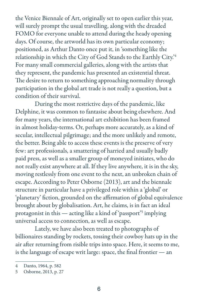the Venice Biennale of Art, originally set to open earlier this year, will surely prompt the usual travelling, along with the dreaded FOMO for everyone unable to attend during the heady opening days. Of course, the artworld has its own particular economy; positioned, as Arthur Danto once put it, in 'something like the relationship in which the City of God Stands to the Earthly City.'4 For many small commercial galleries, along with the artists that they represent, the pandemic has presented an existential threat. The desire to return to something approaching normality through participation in the global art trade is not really a question, but a condition of their survival.

During the most restrictive days of the pandemic, like Delphine, it was common to fantasise about being elsewhere. And for many years, the international art exhibition has been framed in almost holiday-terms. Or, perhaps more accurately, as a kind of secular, intellectual pilgrimage; and the more unlikely and remote, the better. Being able to access these events is the preserve of very few: art professionals, a smattering of harried and usually badly paid press, as well as a smaller group of moneyed initiates, who do not really exist anywhere at all. If they live anywhere, it is in the sky, moving restlessly from one event to the next, an unbroken chain of escape. According to Peter Osborne (2013), art and the biennale structure in particular have a privileged role within a 'global' or 'planetary' fiction, grounded on the affirmation of global equivalence brought about by globalisation. Art, he claims, is in fact an ideal protagonist in this — acting like a kind of 'passport'<sup>5</sup> implying universal access to connection, as well as escape.

Lately, we have also been treated to photographs of billionaires standing by rockets, tossing their cowboy hats up in the air after returning from risible trips into space. Here, it seems to me, is the language of escape writ large: space, the final frontier — an

<sup>4</sup> Danto, 1964, p. 582

<sup>5</sup> Osborne, 2013, p. 27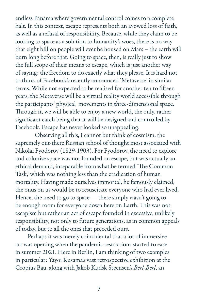endless Panama where governmental control comes to a complete halt. In this context, escape represents both an avowed loss of faith, as well as a refusal of responsibility. Because, while they claim to be looking to space as a solution to humanity's woes, there is no way that eight billion people will ever be housed on Mars – the earth will burn long before that. Going to space, then, is really just to show the full scope of their means to escape, which is just another way of saying: the freedom to do exactly what they please. It is hard not to think of Facebook's recently announced 'Metaverse' in similar terms. While not expected to be realised for another ten to fifteen years, the Metaverse will be a virtual reality world accessible through the participants' physical movements in three-dimensional space. Through it, we will be able to enjoy a new world, the only, rather significant catch being that it will be designed and controlled by Facebook. Escape has never looked so unappealing.

Observing all this, I cannot but think of cosmism, the supremely out-there Russian school of thought most associated with Nikolai Fyodorov (1829-1903). For Fyodorov, the need to explore and colonise space was not founded on escape, but was actually an ethical demand, inseparable from what he termed 'The Common Task,' which was nothing less than the eradication of human mortality. Having made ourselves immortal, he famously claimed, the onus on us would be to resuscitate everyone who had ever lived. Hence, the need to go to space — there simply wasn't going to be enough room for everyone down here on Earth. This was not escapism but rather an act of escape founded in excessive, unlikely responsibility, not only to future generations, as in common appeals of today, but to all the ones that preceded ours.

Perhaps it was merely coincidental that a lot of immersive art was opening when the pandemic restrictions started to ease in summer 2021. Here in Berlin, I am thinking of two examples in particular: Yayoi Kusama's vast retrospective exhibition at the Gropius Bau, along with Jakob Kudsk Steensen's *Berl-Berl*, an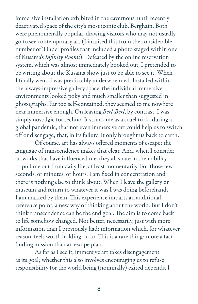immersive installation exhibited in the cavernous, until recently deactivated space of the city's most iconic club, Berghain. Both were phenomenally popular, drawing visitors who may not usually go to see contemporary art (I intuited this from the considerable number of Tinder profiles that included a photo staged within one of Kusama's *Infinity Rooms*). Defeated by the online reservation system, which was almost immediately booked out, I pretended to be writing about the Kusama show just to be able to see it. When I finally went, I was predictably underwhelmed. Installed within the always-impressive gallery space, the individual immersive environments looked poky and much smaller than suggested in photographs. Far too self-contained, they seemed to me nowhere near immersive enough. On leaving *Berl-Berl*, by contrast, I was simply nostalgic for techno. It struck me as a cruel trick, during a global pandemic, that not even immersive art could help us to switch off or disengage; that, in its failure, it only brought us back to earth.

Of course, art has always offered moments of escape; the language of transcendence makes that clear. And, when I consider artworks that have influenced me, they all share in their ability to pull me out from daily life, at least momentarily. For those few seconds, or minutes, or hours, I am fixed in concentration and there is nothing else to think about. When I leave the gallery or museum and return to whatever it was I was doing beforehand, I am marked by them. This experience imparts an additional reference point, a new way of thinking about the world. But I don't think transcendence can be the end goal. The aim is to come back to life somehow changed. Not better, necessarily, just with more information than I previously had: information which, for whatever reason, feels worth holding on to. This is a rare thing: more a factfinding mission than an escape plan.

As far as I see it, immersive art takes disengagement as its goal; whether this also involves encouraging us to refuse responsibility for the world being (nominally) exited depends, I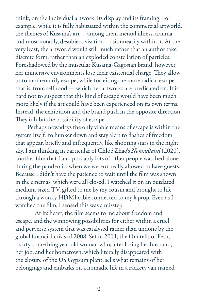think, on the individual artwork, its display and its framing. For example, while it is fully habituated within the commercial artworld, the themes of Kusama's art— among them mental illness, trauma and most notably, desubjectivisation — sit uneasily within it. At the very least, the artworld would still much rather that an author take discrete form, rather than an exploded constellation of particles. Foreshadowed by the muscular Kusama-Gagosian brand, however, her immersive environments lose their existential charge. They allow us to momentarily escape, while forfeiting the more radical escape that is, from selfhood — which her artworks are predicated on. It is hard not to suspect that this kind of escape would have been much more likely if the art could have been experienced on its own terms. Instead, the exhibition and the brand push in the opposite direction. They inhibit the possibility of escape.

Perhaps nowadays the only viable means of escape is within the system itself: to hunker down and stay alert to flashes of freedom that appear, briefly and infrequently, like shooting stars in the night sky. I am thinking in particular of Chloé Zhao's *Nomadland* (2020), another film that I and probably lots of other people watched alone during the pandemic, when we weren't really allowed to have guests. Because I didn't have the patience to wait until the film was shown in the cinemas, which were all closed, I watched it on an outdated medium-sized TV, gifted to me by my cousin and brought to life through a wonky HDMI cable connected to my laptop. Even as I watched the film, I sensed this was a misstep.

At its heart, the film seems to me about freedom and escape, and the winnowing possibilities for either within a cruel and perverse system that was catalysed rather than undone by the global financial crisis of 2008. Set in 2011, the film tells of Fern, a sixty-something year old woman who, after losing her husband, her job, and her hometown, which literally disappeared with the closure of the US Gypsum plant, sells what remains of her belongings and embarks on a nomadic life in a rackety van named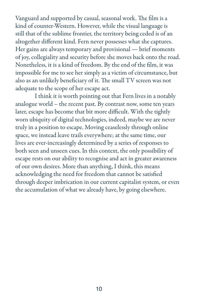Vanguard and supported by casual, seasonal work. The film is a kind of counter-Western. However, while the visual language is still that of the sublime frontier, the territory being ceded is of an altogether different kind. Fern never possesses what she captures. Her gains are always temporary and provisional — brief moments of joy, collegiality and security before she moves back onto the road. Nonetheless, it is a kind of freedom. By the end of the film, it was impossible for me to see her simply as a victim of circumstance, but also as an unlikely beneficiary of it. The small TV screen was not adequate to the scope of her escape act.

I think it is worth pointing out that Fern lives in a notably analogue world – the recent past. By contrast now, some ten years later, escape has become that bit more difficult. With the tightly worn ubiquity of digital technologies, indeed, maybe we are never truly in a position to escape. Moving ceaselessly through online space, we instead leave trails everywhere; at the same time, our lives are ever-increasingly determined by a series of responses to both seen and unseen cues. In this context, the only possibility of escape rests on our ability to recognise and act in greater awareness of our own desires. More than anything, I think, this means acknowledging the need for freedom that cannot be satisfied through deeper imbrication in our current capitalist system, or even the accumulation of what we already have, by going elsewhere.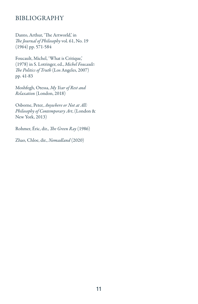## BIBLIOGRAPHY

Danto, Arthur, 'The Artworld,' in *The Journal of Philosophy* vol. 61, No. 19 (1964) pp. 571-584

Foucault, Michel, 'What is Critique,' (1978) in S. Lotringer, ed., *Michel Foucault: The Politics of Truth* (Los Angeles, 2007) pp. 41-83

Moshfegh, Otessa, *My Year of Rest and Relaxation* (London, 2018)

Osborne, Peter, *Anywhere or Not at All: Philosophy of Contemporary Art*, (London & New York, 2013)

Rohmer, Éric, dir., *The Green Ray* (1986)

Zhao, Chloe, dir., *Nomadland* (2020)